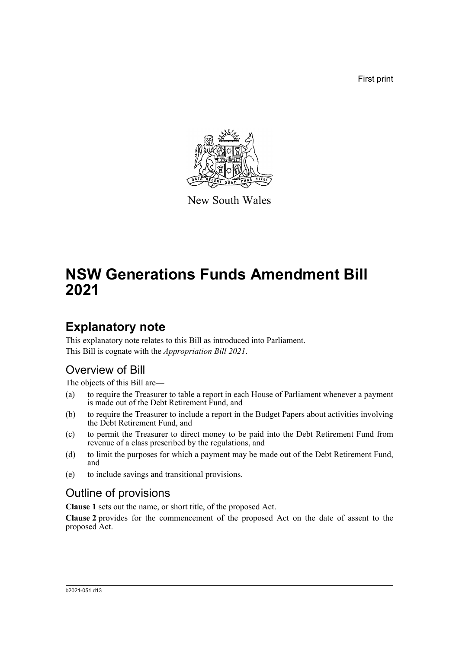First print



New South Wales

# **NSW Generations Funds Amendment Bill 2021**

### **Explanatory note**

This explanatory note relates to this Bill as introduced into Parliament. This Bill is cognate with the *Appropriation Bill 2021*.

### Overview of Bill

The objects of this Bill are—

- (a) to require the Treasurer to table a report in each House of Parliament whenever a payment is made out of the Debt Retirement Fund, and
- (b) to require the Treasurer to include a report in the Budget Papers about activities involving the Debt Retirement Fund, and
- (c) to permit the Treasurer to direct money to be paid into the Debt Retirement Fund from revenue of a class prescribed by the regulations, and
- (d) to limit the purposes for which a payment may be made out of the Debt Retirement Fund, and
- (e) to include savings and transitional provisions.

### Outline of provisions

**Clause 1** sets out the name, or short title, of the proposed Act.

**Clause 2** provides for the commencement of the proposed Act on the date of assent to the proposed Act.

#### b2021-051.d13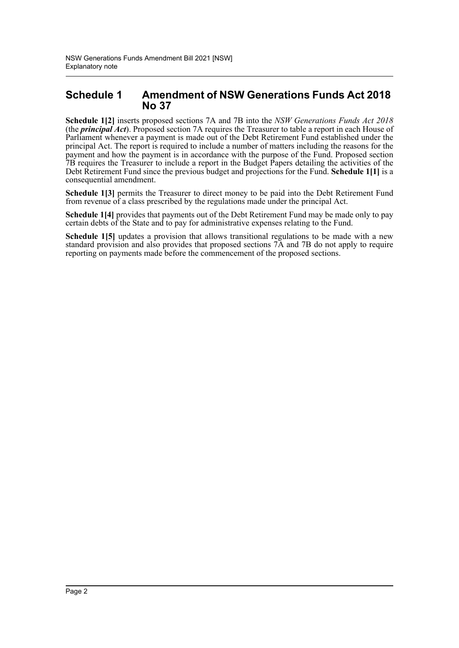#### **Schedule 1 Amendment of NSW Generations Funds Act 2018 No 37**

**Schedule 1[2]** inserts proposed sections 7A and 7B into the *NSW Generations Funds Act 2018* (the *principal Act*). Proposed section 7A requires the Treasurer to table a report in each House of Parliament whenever a payment is made out of the Debt Retirement Fund established under the principal Act. The report is required to include a number of matters including the reasons for the payment and how the payment is in accordance with the purpose of the Fund. Proposed section 7B requires the Treasurer to include a report in the Budget Papers detailing the activities of the Debt Retirement Fund since the previous budget and projections for the Fund. **Schedule 1[1]** is a consequential amendment.

**Schedule 1[3]** permits the Treasurer to direct money to be paid into the Debt Retirement Fund from revenue of a class prescribed by the regulations made under the principal Act.

**Schedule 1[4]** provides that payments out of the Debt Retirement Fund may be made only to pay certain debts of the State and to pay for administrative expenses relating to the Fund.

**Schedule 1[5]** updates a provision that allows transitional regulations to be made with a new standard provision and also provides that proposed sections 7A and 7B do not apply to require reporting on payments made before the commencement of the proposed sections.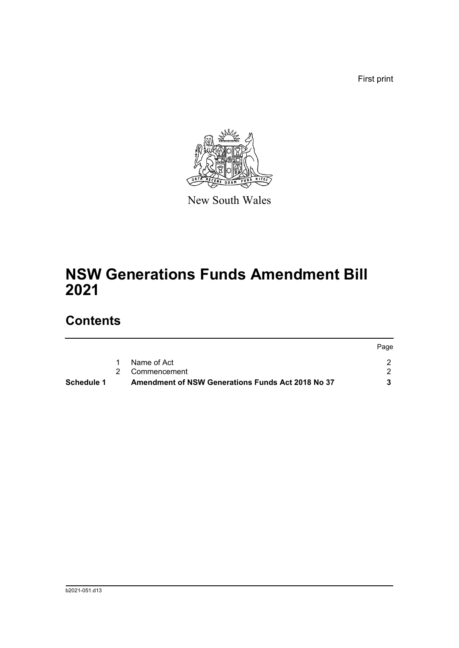First print



New South Wales

# **NSW Generations Funds Amendment Bill 2021**

## **Contents**

|                   |                                                   | Page |
|-------------------|---------------------------------------------------|------|
|                   | Name of Act                                       |      |
|                   | 2 Commencement                                    |      |
| <b>Schedule 1</b> | Amendment of NSW Generations Funds Act 2018 No 37 |      |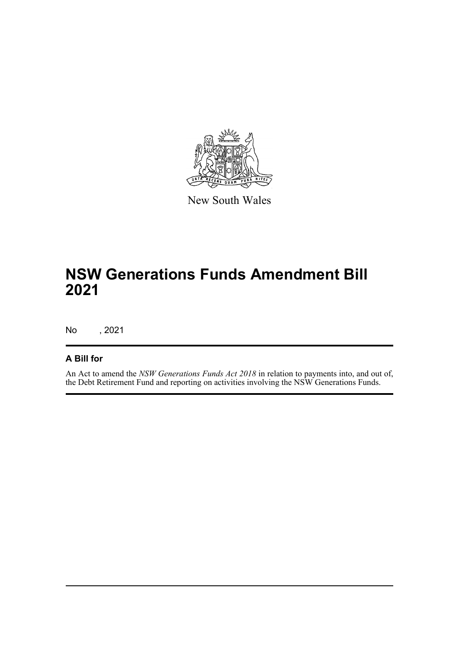

New South Wales

## **NSW Generations Funds Amendment Bill 2021**

No , 2021

#### **A Bill for**

An Act to amend the *NSW Generations Funds Act 2018* in relation to payments into, and out of, the Debt Retirement Fund and reporting on activities involving the NSW Generations Funds.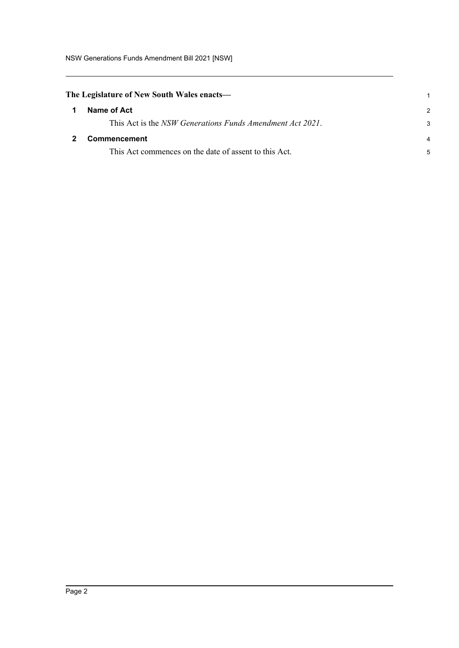<span id="page-4-1"></span><span id="page-4-0"></span>

| The Legislature of New South Wales enacts— |                                                           |               |
|--------------------------------------------|-----------------------------------------------------------|---------------|
| 1                                          | Name of Act                                               | $\mathcal{P}$ |
|                                            | This Act is the NSW Generations Funds Amendment Act 2021. | 3             |
| $\mathbf{2}$                               | Commencement                                              | 4             |
|                                            | This Act commences on the date of assent to this Act.     | 5             |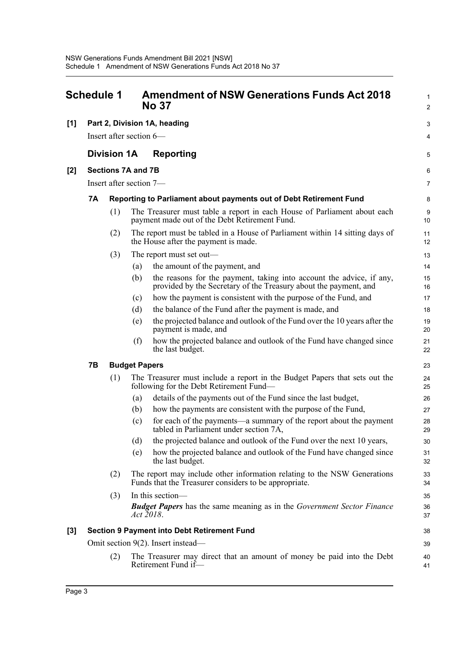<span id="page-5-0"></span>

| <b>Schedule 1</b> |                                                    |                           |     | <b>Amendment of NSW Generations Funds Act 2018</b><br><b>No 37</b>                                                                       |          |  |  |
|-------------------|----------------------------------------------------|---------------------------|-----|------------------------------------------------------------------------------------------------------------------------------------------|----------|--|--|
| [1]               | Part 2, Division 1A, heading                       |                           |     |                                                                                                                                          |          |  |  |
|                   | Insert after section 6—                            |                           |     |                                                                                                                                          |          |  |  |
|                   | <b>Division 1A</b>                                 |                           |     | <b>Reporting</b>                                                                                                                         | 5        |  |  |
| [2]               |                                                    | <b>Sections 7A and 7B</b> |     |                                                                                                                                          | 6        |  |  |
|                   |                                                    | Insert after section 7-   |     |                                                                                                                                          | 7        |  |  |
|                   | 7Α                                                 |                           |     | Reporting to Parliament about payments out of Debt Retirement Fund                                                                       | 8        |  |  |
|                   |                                                    | (1)                       |     | The Treasurer must table a report in each House of Parliament about each<br>payment made out of the Debt Retirement Fund.                | 9<br>10  |  |  |
|                   |                                                    | (2)                       |     | The report must be tabled in a House of Parliament within 14 sitting days of<br>the House after the payment is made.                     | 11<br>12 |  |  |
|                   |                                                    | (3)                       |     | The report must set out—                                                                                                                 | 13       |  |  |
|                   |                                                    |                           | (a) | the amount of the payment, and                                                                                                           | 14       |  |  |
|                   |                                                    |                           | (b) | the reasons for the payment, taking into account the advice, if any,<br>provided by the Secretary of the Treasury about the payment, and | 15<br>16 |  |  |
|                   |                                                    |                           | (c) | how the payment is consistent with the purpose of the Fund, and                                                                          | 17       |  |  |
|                   |                                                    |                           | (d) | the balance of the Fund after the payment is made, and                                                                                   | 18       |  |  |
|                   |                                                    |                           | (e) | the projected balance and outlook of the Fund over the 10 years after the<br>payment is made, and                                        | 19<br>20 |  |  |
|                   |                                                    |                           | (f) | how the projected balance and outlook of the Fund have changed since<br>the last budget.                                                 | 21<br>22 |  |  |
|                   | 7В                                                 | <b>Budget Papers</b>      |     |                                                                                                                                          | 23       |  |  |
|                   |                                                    | (1)                       |     | The Treasurer must include a report in the Budget Papers that sets out the<br>following for the Debt Retirement Fund—                    | 24<br>25 |  |  |
|                   |                                                    |                           | (a) | details of the payments out of the Fund since the last budget,                                                                           | 26       |  |  |
|                   |                                                    |                           | (b) | how the payments are consistent with the purpose of the Fund,                                                                            | 27       |  |  |
|                   |                                                    |                           | (c) | for each of the payments—a summary of the report about the payment<br>tabled in Parliament under section 7A,                             | 28<br>29 |  |  |
|                   |                                                    |                           | (d) | the projected balance and outlook of the Fund over the next 10 years,                                                                    | 30       |  |  |
|                   |                                                    |                           | (e) | how the projected balance and outlook of the Fund have changed since<br>the last budget.                                                 | 31<br>32 |  |  |
|                   |                                                    | (2)                       |     | The report may include other information relating to the NSW Generations<br>Funds that the Treasurer considers to be appropriate.        | 33<br>34 |  |  |
|                   |                                                    | (3)                       |     | In this section-                                                                                                                         | 35       |  |  |
|                   |                                                    |                           |     | <b>Budget Papers</b> has the same meaning as in the Government Sector Finance<br>Act 2018.                                               | 36<br>37 |  |  |
| $[3]$             | <b>Section 9 Payment into Debt Retirement Fund</b> |                           |     |                                                                                                                                          |          |  |  |
|                   | Omit section 9(2). Insert instead—                 |                           |     |                                                                                                                                          |          |  |  |
|                   | (2)                                                |                           |     | The Treasurer may direct that an amount of money be paid into the Debt<br>Retirement Fund if-                                            | 40<br>41 |  |  |
|                   |                                                    |                           |     |                                                                                                                                          |          |  |  |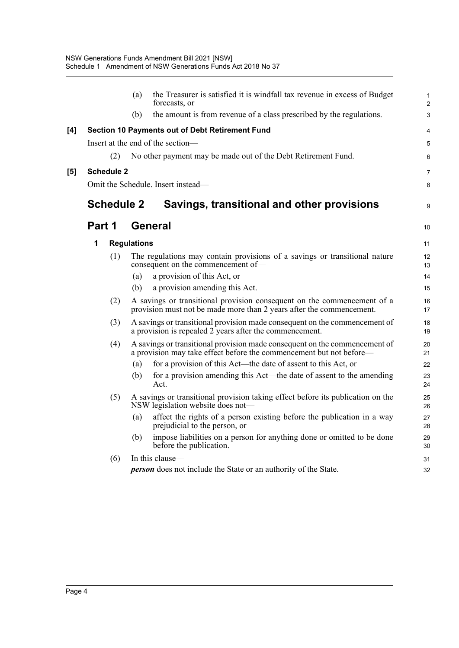|     |        |                    | (a) | the Treasurer is satisfied it is windfall tax revenue in excess of Budget<br>forecasts, or                                                        | 1<br>$\overline{a}$ |
|-----|--------|--------------------|-----|---------------------------------------------------------------------------------------------------------------------------------------------------|---------------------|
|     |        |                    | (b) | the amount is from revenue of a class prescribed by the regulations.                                                                              | 3                   |
| [4] |        |                    |     | Section 10 Payments out of Debt Retirement Fund                                                                                                   | 4                   |
|     |        |                    |     | Insert at the end of the section-                                                                                                                 | 5                   |
|     |        | (2)                |     | No other payment may be made out of the Debt Retirement Fund.                                                                                     | 6                   |
| [5] |        | <b>Schedule 2</b>  |     |                                                                                                                                                   | 7                   |
|     |        |                    |     | Omit the Schedule. Insert instead-                                                                                                                | 8                   |
|     |        | <b>Schedule 2</b>  |     | Savings, transitional and other provisions                                                                                                        | 9                   |
|     | Part 1 |                    |     | <b>General</b>                                                                                                                                    | 10                  |
|     | 1      | <b>Regulations</b> |     |                                                                                                                                                   |                     |
|     |        | (1)                |     | The regulations may contain provisions of a savings or transitional nature<br>consequent on the commencement of-                                  | 12<br>13            |
|     |        |                    | (a) | a provision of this Act, or                                                                                                                       | 14                  |
|     |        |                    | (b) | a provision amending this Act.                                                                                                                    | 15                  |
|     |        | (2)                |     | A savings or transitional provision consequent on the commencement of a<br>provision must not be made more than 2 years after the commencement.   | 16<br>17            |
|     |        | (3)                |     | A savings or transitional provision made consequent on the commencement of<br>a provision is repealed $2$ years after the commencement.           | 18<br>19            |
|     |        | (4)                |     | A savings or transitional provision made consequent on the commencement of<br>a provision may take effect before the commencement but not before— | 20<br>21            |
|     |        |                    | (a) | for a provision of this Act—the date of assent to this Act, or                                                                                    | 22                  |
|     |        |                    | (b) | for a provision amending this Act—the date of assent to the amending<br>Act.                                                                      | 23<br>24            |
|     |        | (5)                |     | A savings or transitional provision taking effect before its publication on the<br>NSW legislation website does not-                              | 25<br>26            |
|     |        |                    | (a) | affect the rights of a person existing before the publication in a way<br>prejudicial to the person, or                                           | 27<br>28            |
|     |        |                    | (b) | impose liabilities on a person for anything done or omitted to be done<br>before the publication.                                                 | 29<br>30            |
|     |        | (6)                |     | In this clause-                                                                                                                                   | 31                  |
|     |        |                    |     | <b>person</b> does not include the State or an authority of the State.                                                                            | 32                  |